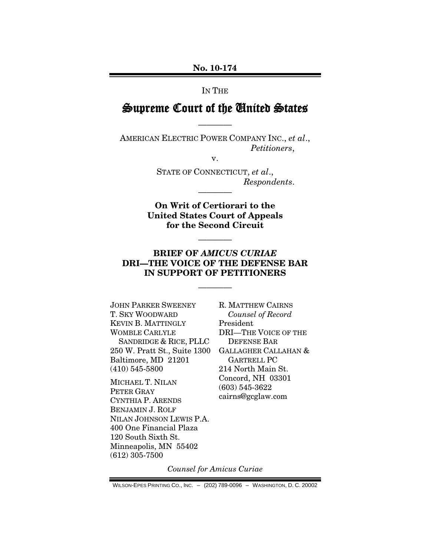#### **No. 10-174**

#### IN THE

## Supreme Court of the United States

————

AMERICAN ELECTRIC POWER COMPANY INC., *et al*., *Petitioners*,

v.

STATE OF CONNECTICUT, *et al*., *Respondents*.

**On Writ of Certiorari to the United States Court of Appeals for the Second Circuit**

————

————

## **BRIEF OF** *AMICUS CURIAE* **DRI—THE VOICE OF THE DEFENSE BAR IN SUPPORT OF PETITIONERS**

————

JOHN PARKER SWEENEY T. SKY WOODWARD KEVIN B. MATTINGLY WOMBLE CARLYLE SANDRIDGE & RICE, PLLC 250 W. Pratt St., Suite 1300 Baltimore, MD 21201 (410) 545-5800

MICHAEL T. NILAN PETER GRAY CYNTHIA P. ARENDS BENJAMIN J. ROLF NILAN JOHNSON LEWIS P.A. 400 One Financial Plaza 120 South Sixth St. Minneapolis, MN 55402 (612) 305-7500

R. MATTHEW CAIRNS *Counsel of Record* President DRI—THE VOICE OF THE DEFENSE BAR GALLAGHER CALLAHAN & GARTRELL PC 214 North Main St. Concord, NH 03301 (603) 545-3622 cairns@gcglaw.com

*Counsel for Amicus Curiae*

WILSON-EPES PRINTING CO., INC. – (202) 789-0096 – WASHINGTON, D. C. 20002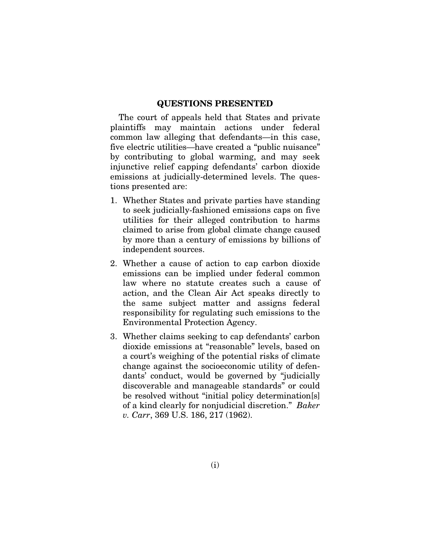#### **QUESTIONS PRESENTED**

The court of appeals held that States and private plaintiffs may maintain actions under federal common law alleging that defendants—in this case, five electric utilities—have created a "public nuisance" by contributing to global warming, and may seek injunctive relief capping defendants' carbon dioxide emissions at judicially-determined levels. The questions presented are:

- 1. Whether States and private parties have standing to seek judicially-fashioned emissions caps on five utilities for their alleged contribution to harms claimed to arise from global climate change caused by more than a century of emissions by billions of independent sources.
- 2. Whether a cause of action to cap carbon dioxide emissions can be implied under federal common law where no statute creates such a cause of action, and the Clean Air Act speaks directly to the same subject matter and assigns federal responsibility for regulating such emissions to the Environmental Protection Agency.
- 3. Whether claims seeking to cap defendants' carbon dioxide emissions at "reasonable" levels, based on a court's weighing of the potential risks of climate change against the socioeconomic utility of defendants' conduct, would be governed by "judicially discoverable and manageable standards" or could be resolved without "initial policy determination[s] of a kind clearly for nonjudicial discretion." *Baker v. Carr*, 369 U.S. 186, 217 (1962).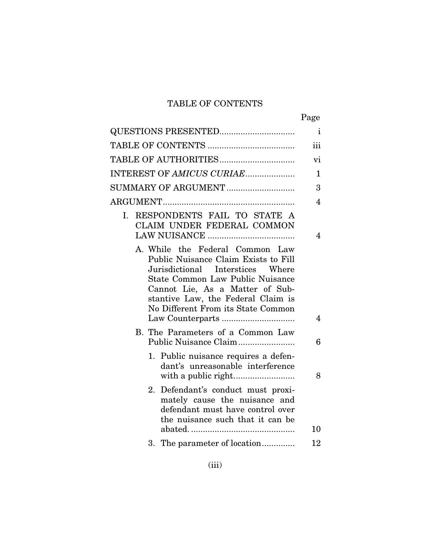# TABLE OF CONTENTS

|--|

| $\mathbf{i}$<br>QUESTIONS PRESENTED                                                                                                                                                                                                                                   |                |  |  |  |
|-----------------------------------------------------------------------------------------------------------------------------------------------------------------------------------------------------------------------------------------------------------------------|----------------|--|--|--|
|                                                                                                                                                                                                                                                                       |                |  |  |  |
|                                                                                                                                                                                                                                                                       |                |  |  |  |
| INTEREST OF AMICUS CURIAE                                                                                                                                                                                                                                             |                |  |  |  |
| SUMMARY OF ARGUMENT                                                                                                                                                                                                                                                   |                |  |  |  |
|                                                                                                                                                                                                                                                                       | $\overline{4}$ |  |  |  |
| I. RESPONDENTS FAIL TO STATE A<br>CLAIM UNDER FEDERAL COMMON                                                                                                                                                                                                          | 4              |  |  |  |
| A. While the Federal Common Law<br>Public Nuisance Claim Exists to Fill<br>Jurisdictional Interstices Where<br><b>State Common Law Public Nuisance</b><br>Cannot Lie, As a Matter of Sub-<br>stantive Law, the Federal Claim is<br>No Different From its State Common | 4              |  |  |  |
| B. The Parameters of a Common Law<br>Public Nuisance Claim                                                                                                                                                                                                            | 6              |  |  |  |
| Public nuisance requires a defen-<br>1.<br>dant's unreasonable interference                                                                                                                                                                                           | 8              |  |  |  |
| Defendant's conduct must proxi-<br>2.<br>mately cause the nuisance and<br>defendant must have control over<br>the nuisance such that it can be                                                                                                                        | 10             |  |  |  |
| The parameter of location<br>3.                                                                                                                                                                                                                                       | 12             |  |  |  |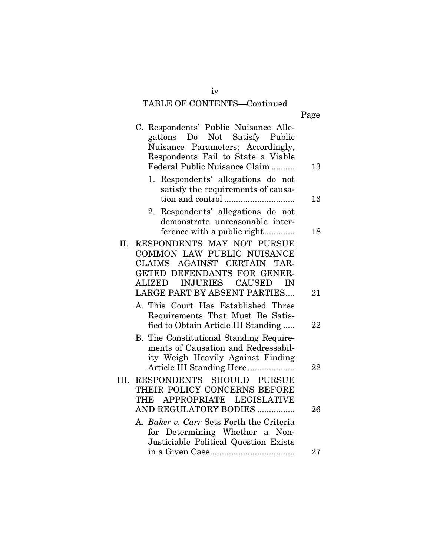# TABLE OF CONTENTS—Continued

| ٠ |
|---|
|---|

|      | C. Respondents' Public Nuisance Alle-<br>gations Do Not Satisfy Public<br>Nuisance Parameters; Accordingly,<br>Respondents Fail to State a Viable<br>Federal Public Nuisance Claim                                   | 13 |
|------|----------------------------------------------------------------------------------------------------------------------------------------------------------------------------------------------------------------------|----|
|      | Respondents' allegations do not<br>1.<br>satisfy the requirements of causa-                                                                                                                                          | 13 |
|      | Respondents' allegations do not<br>2.<br>demonstrate unreasonable inter-<br>ference with a public right                                                                                                              | 18 |
| П.   | RESPONDENTS MAY NOT PURSUE<br>COMMON LAW PUBLIC NUISANCE<br>CLAIMS AGAINST CERTAIN<br>TAR-<br>GETED DEFENDANTS FOR GENER-<br><b>INJURIES</b><br><b>CAUSED</b><br>ALIZED<br>IN<br><b>LARGE PART BY ABSENT PARTIES</b> | 21 |
|      | A. This Court Has Established Three<br>Requirements That Must Be Satis-<br>fied to Obtain Article III Standing                                                                                                       | 22 |
|      | B. The Constitutional Standing Require-<br>ments of Causation and Redressabil-<br>ity Weigh Heavily Against Finding                                                                                                  |    |
| III. | Article III Standing Here<br>RESPONDENTS SHOULD PURSUE<br>THEIR POLICY CONCERNS BEFORE<br>APPROPRIATE LEGISLATIVE<br>THE                                                                                             | 22 |
|      | AND REGULATORY BODIES<br>A. Baker v. Carr Sets Forth the Criteria<br>for Determining Whether a Non-<br>Justiciable Political Question Exists                                                                         | 26 |
|      |                                                                                                                                                                                                                      | 27 |

iv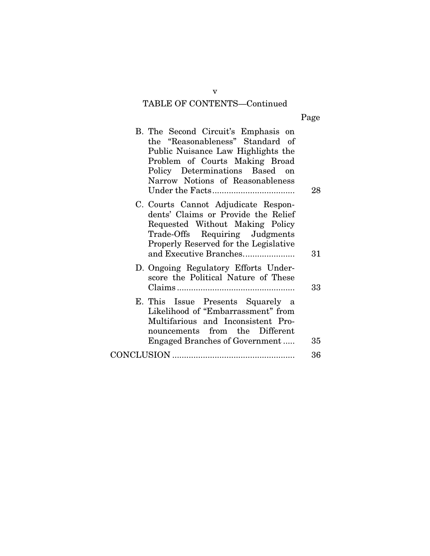# TABLE OF CONTENTS—Continued

| .,<br>Page |
|------------|
|------------|

| B. The Second Circuit's Emphasis on<br>the "Reasonableness" Standard of<br>Public Nuisance Law Highlights the<br>Problem of Courts Making Broad<br>Policy Determinations Based on<br>Narrow Notions of Reasonableness | 28 |
|-----------------------------------------------------------------------------------------------------------------------------------------------------------------------------------------------------------------------|----|
| C. Courts Cannot Adjudicate Respon-<br>dents' Claims or Provide the Relief<br>Requested Without Making Policy<br>Trade-Offs Requiring Judgments<br>Properly Reserved for the Legislative                              |    |
| and Executive Branches                                                                                                                                                                                                | 31 |
| D. Ongoing Regulatory Efforts Under-<br>score the Political Nature of These                                                                                                                                           |    |
|                                                                                                                                                                                                                       | 33 |
| E. This Issue Presents Squarely a<br>Likelihood of "Embarrassment" from<br>Multifarious and Inconsistent Pro-<br>nouncements from the Different<br><b>Engaged Branches of Government</b>                              | 35 |
|                                                                                                                                                                                                                       |    |
|                                                                                                                                                                                                                       | 36 |

v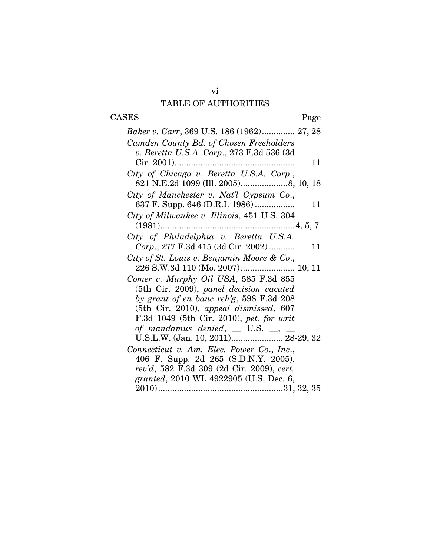## vi TABLE OF AUTHORITIES

# CASES Page

| Baker v. Carr, 369 U.S. 186 (1962) 27, 28       |
|-------------------------------------------------|
| Camden County Bd. of Chosen Freeholders         |
| v. Beretta U.S.A. Corp., 273 F.3d 536 (3d       |
| 11                                              |
| City of Chicago v. Beretta U.S.A. Corp.,        |
|                                                 |
| City of Manchester v. Nat'l Gypsum Co.,         |
| 637 F. Supp. 646 (D.R.I. 1986)<br>11            |
| City of Milwaukee v. Illinois, 451 U.S. 304     |
|                                                 |
| City of Philadelphia v. Beretta U.S.A.          |
| Corp., 277 F.3d 415 (3d Cir. 2002)<br>11        |
| City of St. Louis v. Benjamin Moore & Co.,      |
| 226 S.W.3d 110 (Mo. 2007) 10, 11                |
| Comer v. Murphy Oil USA, 585 F.3d 855           |
| (5th Cir. 2009), panel decision vacated         |
| by grant of en banc reh'g, 598 F.3d 208         |
| $(5th)$ Cir. 2010), appeal dismissed, 607       |
| F.3d 1049 (5th Cir. 2010), pet. for writ        |
| of mandamus denied, $\Box$ U.S. $\Box$ , $\Box$ |
| U.S.L.W. (Jan. 10, 2011) 28-29, 32              |
| Connecticut v. Am. Elec. Power Co., Inc.,       |
| 406 F. Supp. 2d 265 (S.D.N.Y. 2005),            |
| rev'd, 582 F.3d 309 (2d Cir. 2009), cert.       |
| granted, 2010 WL 4922905 (U.S. Dec. 6,          |
|                                                 |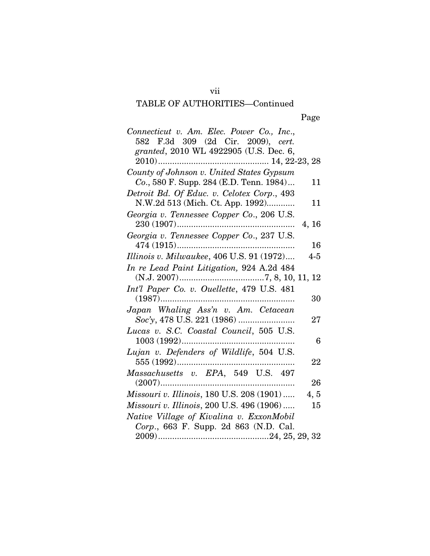## TABLE OF AUTHORITIES—Continued

| Connecticut v. Am. Elec. Power Co., Inc.,<br>582 F.3d 309 (2d Cir. 2009), cert.<br>granted, 2010 WL 4922905 (U.S. Dec. 6, |            |
|---------------------------------------------------------------------------------------------------------------------------|------------|
|                                                                                                                           |            |
| County of Johnson v. United States Gypsum<br>Co., 580 F. Supp. 284 (E.D. Tenn. 1984)                                      | 11         |
| Detroit Bd. Of Educ. v. Celotex Corp., 493<br>N.W.2d 513 (Mich. Ct. App. 1992)                                            | 11         |
| Georgia v. Tennessee Copper Co., 206 U.S.                                                                                 |            |
| Georgia v. Tennessee Copper Co., 237 U.S.                                                                                 | 4, 16      |
|                                                                                                                           | 16         |
| Illinois v. Milwaukee, 406 U.S. 91 (1972)                                                                                 | $4 - 5$    |
| In re Lead Paint Litigation, 924 A.2d 484                                                                                 |            |
| Int'l Paper Co. v. Ouellette, 479 U.S. 481                                                                                |            |
| $(1987)$                                                                                                                  | 30         |
| Japan Whaling Ass'n v. Am. Cetacean                                                                                       | 27         |
| Lucas v. S.C. Coastal Council, 505 U.S.                                                                                   |            |
|                                                                                                                           | 6          |
| Lujan v. Defenders of Wildlife, 504 U.S.                                                                                  | 22         |
| Massachusetts v. EPA, 549 U.S. 497                                                                                        |            |
| $(2007)$<br>Missouri v. Illinois, 180 U.S. 208 (1901)                                                                     | 26<br>4, 5 |
| Missouri v. Illinois, 200 U.S. 496 (1906)                                                                                 | 15         |
| Native Village of Kivalina v. ExxonMobil                                                                                  |            |
| Corp., 663 F. Supp. 2d 863 (N.D. Cal.                                                                                     |            |
|                                                                                                                           |            |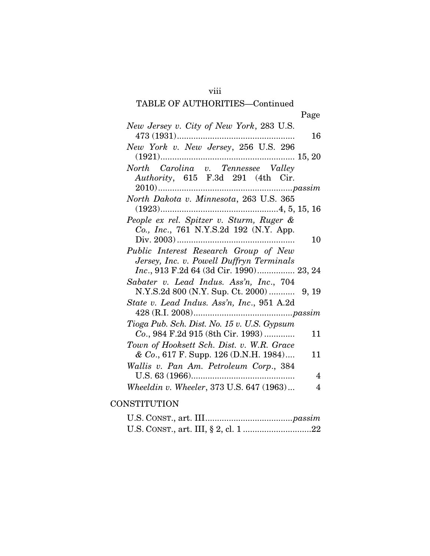## viii

## TABLE OF AUTHORITIES—Continued

Page

| New Jersey v. City of New York, 283 U.S.<br>$473(1931)$ | 16 |
|---------------------------------------------------------|----|
|                                                         |    |
| New York v. New Jersey, 256 U.S. 296                    |    |
|                                                         |    |
| North Carolina v. Tennessee Valley                      |    |
| Authority, 615 F.3d 291 (4th Cir.                       |    |
|                                                         |    |
| North Dakota v. Minnesota, 263 U.S. 365                 |    |
|                                                         |    |
|                                                         |    |
| People ex rel. Spitzer v. Sturm, Ruger &                |    |
| Co., Inc., 761 N.Y.S.2d 192 (N.Y. App.                  |    |
|                                                         | 10 |
| Public Interest Research Group of New                   |    |
|                                                         |    |
| Jersey, Inc. v. Powell Duffryn Terminals                |    |
| Inc., 913 F.2d 64 (3d Cir. 1990) 23, 24                 |    |
| Sabater v. Lead Indus. Ass'n, Inc., 704                 |    |
|                                                         |    |
| State v. Lead Indus. Ass'n, Inc., 951 A.2d              |    |
|                                                         |    |
|                                                         |    |
| Tioga Pub. Sch. Dist. No. 15 v. U.S. Gypsum             |    |
| Co., 984 F.2d 915 (8th Cir. 1993)                       | 11 |
| Town of Hooksett Sch. Dist. v. W.R. Grace               |    |
| & Co., 617 F. Supp. 126 (D.N.H. 1984)                   | 11 |
| Wallis v. Pan Am. Petroleum Corp., 384                  |    |
|                                                         | 4  |
| Wheeldin v. Wheeler, 373 U.S. 647 (1963)                | 4  |
|                                                         |    |

# **CONSTITUTION**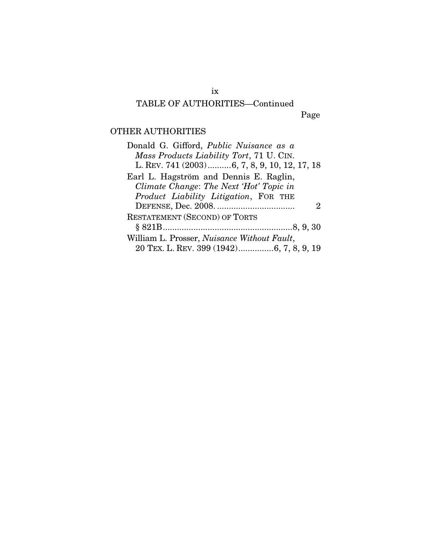# ix

## TABLE OF AUTHORITIES—Continued

Page

## OTHER AUTHORITIES

| Donald G. Gifford, <i>Public Nuisance as a</i>      |
|-----------------------------------------------------|
| Mass Products Liability Tort, 71 U. CIN.            |
| L. REV. 741 (2003)6, 7, 8, 9, 10, 12, 17, 18        |
| Earl L. Hagström and Dennis E. Raglin,              |
| Climate Change: The Next 'Hot' Topic in             |
| Product Liability Litigation, FOR THE               |
| $\mathcal{L}$                                       |
| <b>RESTATEMENT (SECOND) OF TORTS</b>                |
|                                                     |
| William L. Prosser, <i>Nuisance Without Fault</i> , |
| 20 TEX. L. REV. 399 (1942)6, 7, 8, 9, 19            |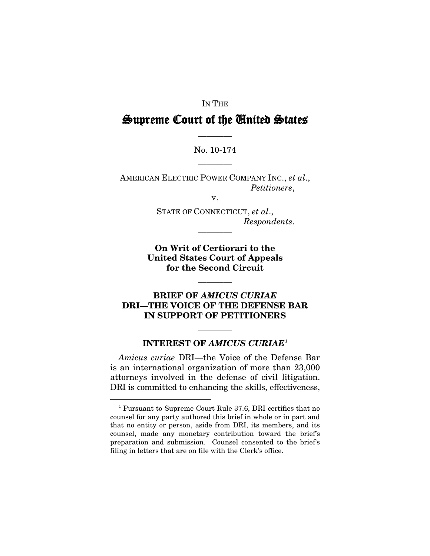#### IN THE

# Supreme Court of the United States

#### No. 10-174

————

————

AMERICAN ELECTRIC POWER COMPANY INC., *et al*., *Petitioners*,

v.

STATE OF CONNECTICUT, *et al*., *Respondents*.

**On Writ of Certiorari to the United States Court of Appeals for the Second Circuit**

————

————

## **BRIEF OF** *AMICUS CURIAE* **DRI—THE VOICE OF THE DEFENSE BAR IN SUPPORT OF PETITIONERS**

## ———— **INTEREST OF** *AMICUS CURIAE[1](#page-9-0)*

*Amicus curiae* DRI—the Voice of the Defense Bar is an international organization of more than 23,000 attorneys involved in the defense of civil litigation. DRI is committed to enhancing the skills, effectiveness,

<span id="page-9-0"></span> <sup>1</sup> Pursuant to Supreme Court Rule 37.6, DRI certifies that no counsel for any party authored this brief in whole or in part and that no entity or person, aside from DRI, its members, and its counsel, made any monetary contribution toward the brief's preparation and submission. Counsel consented to the brief's filing in letters that are on file with the Clerk's office.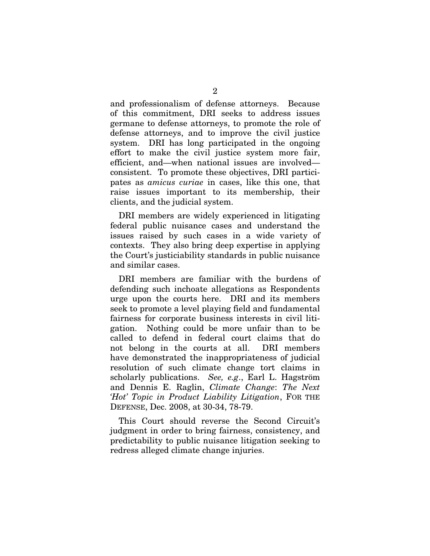and professionalism of defense attorneys. Because of this commitment, DRI seeks to address issues germane to defense attorneys, to promote the role of defense attorneys, and to improve the civil justice system. DRI has long participated in the ongoing effort to make the civil justice system more fair, efficient, and—when national issues are involved consistent. To promote these objectives, DRI participates as *amicus curiae* in cases, like this one, that raise issues important to its membership, their clients, and the judicial system.

DRI members are widely experienced in litigating federal public nuisance cases and understand the issues raised by such cases in a wide variety of contexts. They also bring deep expertise in applying the Court's justiciability standards in public nuisance and similar cases.

DRI members are familiar with the burdens of defending such inchoate allegations as Respondents urge upon the courts here. DRI and its members seek to promote a level playing field and fundamental fairness for corporate business interests in civil litigation. Nothing could be more unfair than to be called to defend in federal court claims that do not belong in the courts at all. DRI members have demonstrated the inappropriateness of judicial resolution of such climate change tort claims in scholarly publications. *See, e.g*., Earl L. Hagström and Dennis E. Raglin, *Climate Change*: *The Next 'Hot' Topic in Product Liability Litigation*, FOR THE DEFENSE, Dec. 2008, at 30-34, 78-79.

This Court should reverse the Second Circuit's judgment in order to bring fairness, consistency, and predictability to public nuisance litigation seeking to redress alleged climate change injuries.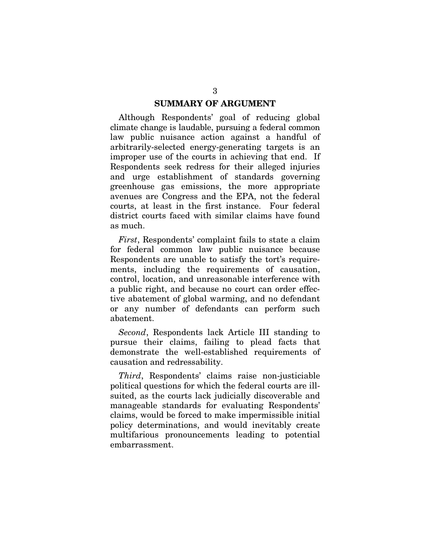#### **SUMMARY OF ARGUMENT**

Although Respondents' goal of reducing global climate change is laudable, pursuing a federal common law public nuisance action against a handful of arbitrarily-selected energy-generating targets is an improper use of the courts in achieving that end. If Respondents seek redress for their alleged injuries and urge establishment of standards governing greenhouse gas emissions, the more appropriate avenues are Congress and the EPA, not the federal courts, at least in the first instance. Four federal district courts faced with similar claims have found as much.

*First*, Respondents' complaint fails to state a claim for federal common law public nuisance because Respondents are unable to satisfy the tort's requirements, including the requirements of causation, control, location, and unreasonable interference with a public right, and because no court can order effective abatement of global warming, and no defendant or any number of defendants can perform such abatement.

*Second*, Respondents lack Article III standing to pursue their claims, failing to plead facts that demonstrate the well-established requirements of causation and redressability.

*Third*, Respondents' claims raise non-justiciable political questions for which the federal courts are illsuited, as the courts lack judicially discoverable and manageable standards for evaluating Respondents' claims, would be forced to make impermissible initial policy determinations, and would inevitably create multifarious pronouncements leading to potential embarrassment.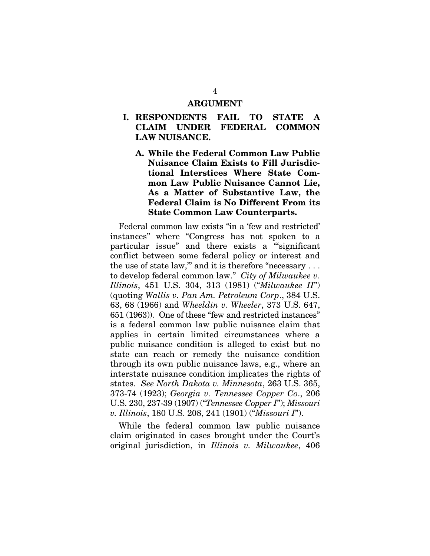#### **ARGUMENT**

- **I. RESPONDENTS FAIL TO STATE A CLAIM UNDER FEDERAL COMMON LAW NUISANCE.**
	- **A. While the Federal Common Law Public Nuisance Claim Exists to Fill Jurisdictional Interstices Where State Common Law Public Nuisance Cannot Lie, As a Matter of Substantive Law, the Federal Claim is No Different From its State Common Law Counterparts.**

Federal common law exists "in a 'few and restricted' instances" where "Congress has not spoken to a particular issue" and there exists a "'significant conflict between some federal policy or interest and the use of state law," and it is therefore "necessary . . . to develop federal common law." *City of Milwaukee v. Illinois*, 451 U.S. 304, 313 (1981) ("*Milwaukee II*") (quoting *Wallis v. Pan Am. Petroleum Corp*., 384 U.S. 63, 68 (1966) and *Wheeldin v. Wheeler*, 373 U.S. 647, 651 (1963)). One of these "few and restricted instances" is a federal common law public nuisance claim that applies in certain limited circumstances where a public nuisance condition is alleged to exist but no state can reach or remedy the nuisance condition through its own public nuisance laws, e.g., where an interstate nuisance condition implicates the rights of states. *See North Dakota v. Minnesota*, 263 U.S. 365, 373-74 (1923); *Georgia v. Tennessee Copper Co*., 206 U.S. 230, 237-39 (1907) ("*Tennessee Copper I*"); *Missouri v. Illinois*, 180 U.S. 208, 241 (1901) ("*Missouri I*").

While the federal common law public nuisance claim originated in cases brought under the Court's original jurisdiction, in *Illinois v. Milwaukee*, 406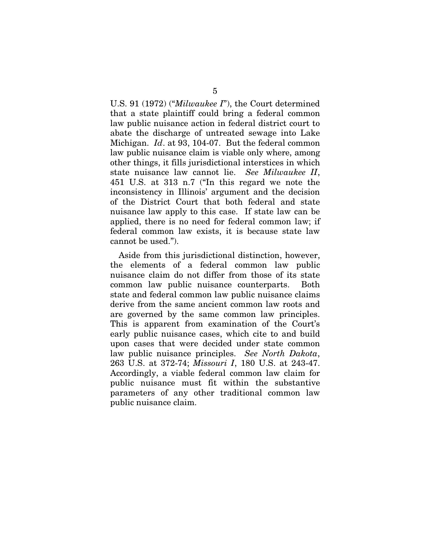U.S. 91 (1972) ("*Milwaukee I*"), the Court determined that a state plaintiff could bring a federal common law public nuisance action in federal district court to abate the discharge of untreated sewage into Lake Michigan. *Id*. at 93, 104-07. But the federal common law public nuisance claim is viable only where, among other things, it fills jurisdictional interstices in which state nuisance law cannot lie. *See Milwaukee II*, 451 U.S. at 313 n.7 ("In this regard we note the inconsistency in Illinois' argument and the decision of the District Court that both federal and state nuisance law apply to this case. If state law can be applied, there is no need for federal common law; if federal common law exists, it is because state law cannot be used.").

Aside from this jurisdictional distinction, however, the elements of a federal common law public nuisance claim do not differ from those of its state common law public nuisance counterparts. Both state and federal common law public nuisance claims derive from the same ancient common law roots and are governed by the same common law principles. This is apparent from examination of the Court's early public nuisance cases, which cite to and build upon cases that were decided under state common law public nuisance principles. *See North Dakota*, 263 U.S. at 372-74; *Missouri I*, 180 U.S. at 243-47. Accordingly, a viable federal common law claim for public nuisance must fit within the substantive parameters of any other traditional common law public nuisance claim.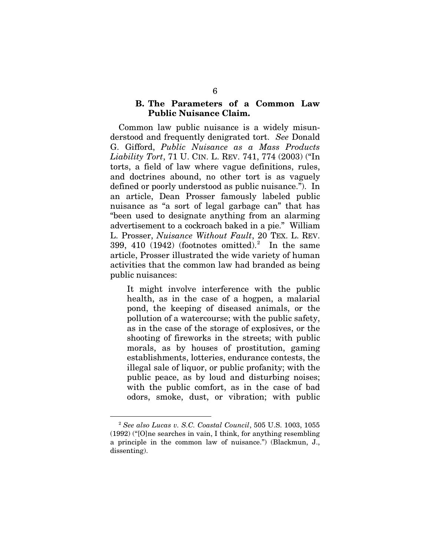#### **B. The Parameters of a Common Law Public Nuisance Claim.**

Common law public nuisance is a widely misunderstood and frequently denigrated tort. *See* Donald G. Gifford, *Public Nuisance as a Mass Products Liability Tort*, 71 U. CIN. L. REV. 741, 774 (2003) ("In torts, a field of law where vague definitions, rules, and doctrines abound, no other tort is as vaguely defined or poorly understood as public nuisance."). In an article, Dean Prosser famously labeled public nuisance as "a sort of legal garbage can" that has "been used to designate anything from an alarming advertisement to a cockroach baked in a pie." William L. Prosser, *Nuisance Without Fault*, 20 TEX. L. REV. 399, 410 (194[2](#page-14-0)) (footnotes omitted).<sup>2</sup> In the same article, Prosser illustrated the wide variety of human activities that the common law had branded as being public nuisances:

It might involve interference with the public health, as in the case of a hogpen, a malarial pond, the keeping of diseased animals, or the pollution of a watercourse; with the public safety, as in the case of the storage of explosives, or the shooting of fireworks in the streets; with public morals, as by houses of prostitution, gaming establishments, lotteries, endurance contests, the illegal sale of liquor, or public profanity; with the public peace, as by loud and disturbing noises; with the public comfort, as in the case of bad odors, smoke, dust, or vibration; with public

<span id="page-14-0"></span> <sup>2</sup> *See also Lucas v. S.C. Coastal Council*, 505 U.S. 1003, 1055 (1992) ("[O]ne searches in vain, I think, for anything resembling a principle in the common law of nuisance.") (Blackmun, J., dissenting).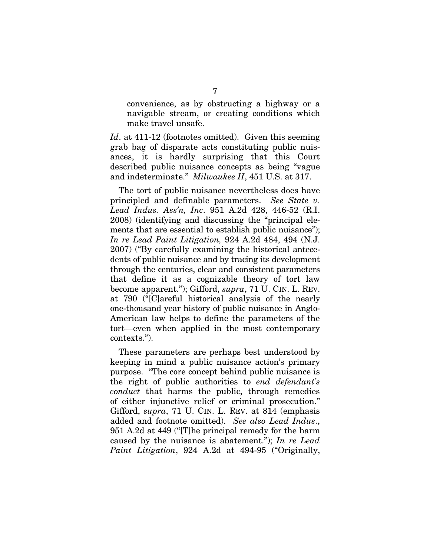convenience, as by obstructing a highway or a navigable stream, or creating conditions which make travel unsafe.

Id. at 411-12 (footnotes omitted). Given this seeming grab bag of disparate acts constituting public nuisances, it is hardly surprising that this Court described public nuisance concepts as being "vague and indeterminate." *Milwaukee II*, 451 U.S. at 317.

The tort of public nuisance nevertheless does have principled and definable parameters. *See State v. Lead Indus. Ass'n, Inc*. 951 A.2d 428, 446-52 (R.I. 2008) (identifying and discussing the "principal elements that are essential to establish public nuisance"); *In re Lead Paint Litigation,* 924 A.2d 484, 494 (N.J. 2007) ("By carefully examining the historical antecedents of public nuisance and by tracing its development through the centuries, clear and consistent parameters that define it as a cognizable theory of tort law become apparent."); Gifford, *supra*, 71 U. CIN. L. REV. at 790 ("[C]areful historical analysis of the nearly one-thousand year history of public nuisance in Anglo-American law helps to define the parameters of the tort—even when applied in the most contemporary contexts.").

These parameters are perhaps best understood by keeping in mind a public nuisance action's primary purpose. "The core concept behind public nuisance is the right of public authorities to *end defendant's conduct* that harms the public, through remedies of either injunctive relief or criminal prosecution." Gifford, *supra*, 71 U. CIN. L. REV. at 814 (emphasis added and footnote omitted). *See also Lead Indus*., 951 A.2d at 449 ("[T]he principal remedy for the harm caused by the nuisance is abatement."); *In re Lead Paint Litigation*, 924 A.2d at 494-95 ("Originally,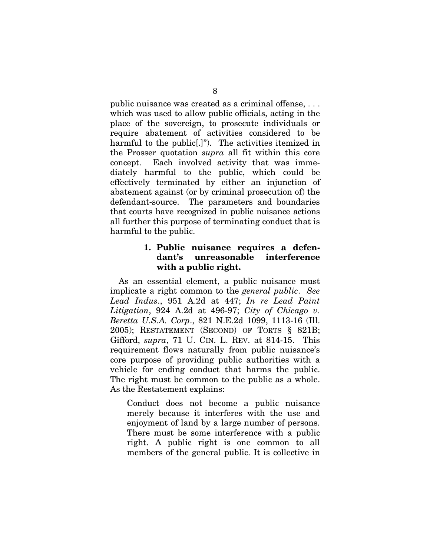public nuisance was created as a criminal offense, . . . which was used to allow public officials, acting in the place of the sovereign, to prosecute individuals or require abatement of activities considered to be harmful to the public[.]"). The activities itemized in the Prosser quotation *supra* all fit within this core concept. Each involved activity that was immediately harmful to the public, which could be effectively terminated by either an injunction of abatement against (or by criminal prosecution of) the defendant-source. The parameters and boundaries that courts have recognized in public nuisance actions all further this purpose of terminating conduct that is harmful to the public.

## **1. Public nuisance requires a defendant's unreasonable interference with a public right.**

As an essential element, a public nuisance must implicate a right common to the *general public*. *See Lead Indus*., 951 A.2d at 447; *In re Lead Paint Litigation*, 924 A.2d at 496-97; *City of Chicago v. Beretta U.S.A. Corp*., 821 N.E.2d 1099, 1113-16 (Ill. 2005); RESTATEMENT (SECOND) OF TORTS § 821B; Gifford, *supra*, 71 U. CIN. L. REV. at 814-15. This requirement flows naturally from public nuisance's core purpose of providing public authorities with a vehicle for ending conduct that harms the public. The right must be common to the public as a whole. As the Restatement explains:

Conduct does not become a public nuisance merely because it interferes with the use and enjoyment of land by a large number of persons. There must be some interference with a public right. A public right is one common to all members of the general public. It is collective in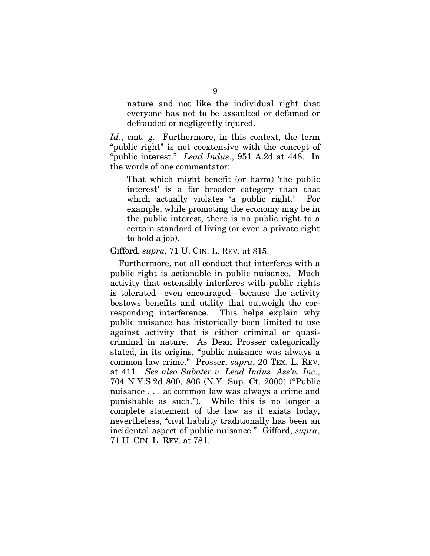nature and not like the individual right that everyone has not to be assaulted or defamed or defrauded or negligently injured.

*Id*., cmt. g. Furthermore, in this context, the term "public right" is not coextensive with the concept of "public interest." *Lead Indus*., 951 A.2d at 448. In the words of one commentator:

That which might benefit (or harm) 'the public interest' is a far broader category than that which actually violates 'a public right.' For example, while promoting the economy may be in the public interest, there is no public right to a certain standard of living (or even a private right to hold a job).

#### Gifford, *supra*, 71 U. CIN. L. REV. at 815.

Furthermore, not all conduct that interferes with a public right is actionable in public nuisance. Much activity that ostensibly interferes with public rights is tolerated—even encouraged—because the activity bestows benefits and utility that outweigh the corresponding interference. This helps explain why public nuisance has historically been limited to use against activity that is either criminal or quasicriminal in nature. As Dean Prosser categorically stated, in its origins, "public nuisance was always a common law crime." Prosser, *supra*, 20 TEX. L. REV. at 411. *See also Sabater v. Lead Indus*. *Ass'n, Inc*., 704 N.Y.S.2d 800, 806 (N.Y. Sup. Ct. 2000) ("Public nuisance . . . at common law was always a crime and punishable as such."). While this is no longer a complete statement of the law as it exists today, nevertheless, "civil liability traditionally has been an incidental aspect of public nuisance." Gifford, *supra*, 71 U. CIN. L. REV. at 781.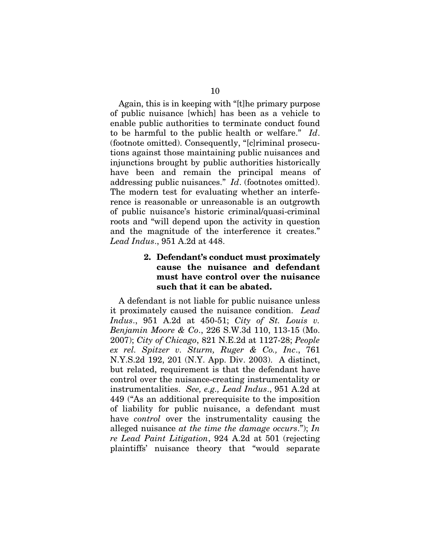Again, this is in keeping with "[t]he primary purpose of public nuisance [which] has been as a vehicle to enable public authorities to terminate conduct found to be harmful to the public health or welfare." *Id*. (footnote omitted). Consequently, "[c]riminal prosecutions against those maintaining public nuisances and injunctions brought by public authorities historically have been and remain the principal means of addressing public nuisances." *Id*. (footnotes omitted). The modern test for evaluating whether an interference is reasonable or unreasonable is an outgrowth of public nuisance's historic criminal/quasi-criminal roots and "will depend upon the activity in question and the magnitude of the interference it creates." *Lead Indus*., 951 A.2d at 448.

### **2. Defendant's conduct must proximately cause the nuisance and defendant must have control over the nuisance such that it can be abated.**

A defendant is not liable for public nuisance unless it proximately caused the nuisance condition. *Lead Indus*., 951 A.2d at 450-51; *City of St. Louis v. Benjamin Moore & Co*., 226 S.W.3d 110, 113-15 (Mo. 2007); *City of Chicago*, 821 N.E.2d at 1127-28; *People ex rel. Spitzer v. Sturm, Ruger & Co., Inc*., 761 N.Y.S.2d 192, 201 (N.Y. App. Div. 2003). A distinct, but related, requirement is that the defendant have control over the nuisance-creating instrumentality or instrumentalities. *See, e.g., Lead Indus*., 951 A.2d at 449 ("As an additional prerequisite to the imposition of liability for public nuisance, a defendant must have *control* over the instrumentality causing the alleged nuisance *at the time the damage occurs*."); *In re Lead Paint Litigation*, 924 A.2d at 501 (rejecting plaintiffs' nuisance theory that "would separate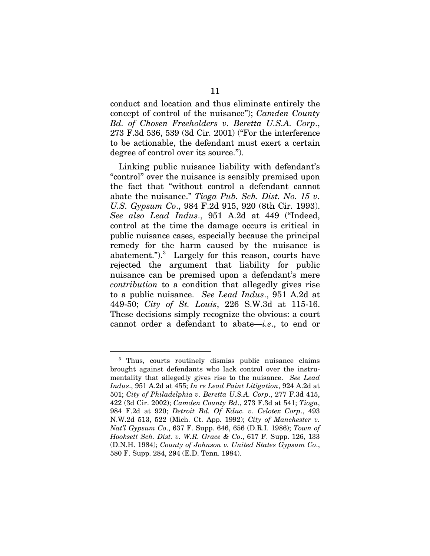conduct and location and thus eliminate entirely the concept of control of the nuisance"); *Camden County Bd. of Chosen Freeholders v. Beretta U.S.A. Corp*., 273 F.3d 536, 539 (3d Cir. 2001) ("For the interference to be actionable, the defendant must exert a certain degree of control over its source.").

Linking public nuisance liability with defendant's "control" over the nuisance is sensibly premised upon the fact that "without control a defendant cannot abate the nuisance." *Tioga Pub. Sch. Dist. No. 15 v. U.S. Gypsum Co*., 984 F.2d 915, 920 (8th Cir. 1993). *See also Lead Indus*., 951 A.2d at 449 ("Indeed, control at the time the damage occurs is critical in public nuisance cases, especially because the principal remedy for the harm caused by the nuisance is abatement.").<sup>[3](#page-19-0)</sup> Largely for this reason, courts have rejected the argument that liability for public nuisance can be premised upon a defendant's mere *contribution* to a condition that allegedly gives rise to a public nuisance. *See Lead Indus*., 951 A.2d at 449-50; *City of St. Louis*, 226 S.W.3d at 115-16. These decisions simply recognize the obvious: a court cannot order a defendant to abate—*i.e*., to end or

<span id="page-19-0"></span><sup>&</sup>lt;sup>3</sup> Thus, courts routinely dismiss public nuisance claims brought against defendants who lack control over the instrumentality that allegedly gives rise to the nuisance. *See Lead Indus*., 951 A.2d at 455; *In re Lead Paint Litigation*, 924 A.2d at 501; *City of Philadelphia v. Beretta U.S.A. Corp*., 277 F.3d 415, 422 (3d Cir. 2002); *Camden County Bd*., 273 F.3d at 541; *Tioga*, 984 F.2d at 920; *Detroit Bd. Of Educ. v. Celotex Corp*., 493 N.W.2d 513, 522 (Mich. Ct. App. 1992); *City of Manchester v. Nat'l Gypsum Co*., 637 F. Supp. 646, 656 (D.R.I. 1986); *Town of Hooksett Sch. Dist. v. W.R. Grace & Co*., 617 F. Supp. 126, 133 (D.N.H. 1984); *County of Johnson v. United States Gypsum Co*., 580 F. Supp. 284, 294 (E.D. Tenn. 1984).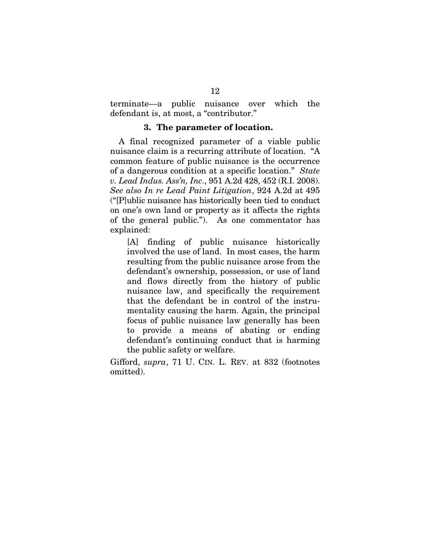terminate—a public nuisance over which the defendant is, at most, a "contributor."

#### **3. The parameter of location.**

A final recognized parameter of a viable public nuisance claim is a recurring attribute of location. "A common feature of public nuisance is the occurrence of a dangerous condition at a specific location." *State v. Lead Indus. Ass'n, Inc*., 951 A.2d 428, 452 (R.I. 2008). *See also In re Lead Paint Litigation*, 924 A.2d at 495 ("[P]ublic nuisance has historically been tied to conduct on one's own land or property as it affects the rights of the general public."). As one commentator has explained:

[A] finding of public nuisance historically involved the use of land. In most cases, the harm resulting from the public nuisance arose from the defendant's ownership, possession, or use of land and flows directly from the history of public nuisance law, and specifically the requirement that the defendant be in control of the instrumentality causing the harm. Again, the principal focus of public nuisance law generally has been to provide a means of abating or ending defendant's continuing conduct that is harming the public safety or welfare.

Gifford, *supra*, 71 U. CIN. L. REV. at 832 (footnotes omitted).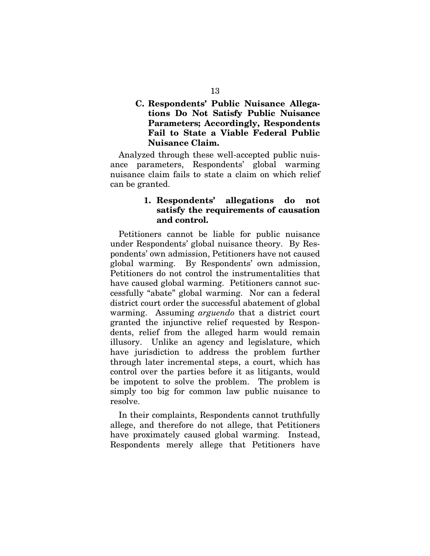## **C. Respondents' Public Nuisance Allegations Do Not Satisfy Public Nuisance Parameters; Accordingly, Respondents Fail to State a Viable Federal Public Nuisance Claim.**

Analyzed through these well-accepted public nuisance parameters, Respondents' global warming nuisance claim fails to state a claim on which relief can be granted.

## **1. Respondents' allegations do not satisfy the requirements of causation and control.**

Petitioners cannot be liable for public nuisance under Respondents' global nuisance theory. By Respondents' own admission, Petitioners have not caused global warming. By Respondents' own admission, Petitioners do not control the instrumentalities that have caused global warming. Petitioners cannot successfully "abate" global warming. Nor can a federal district court order the successful abatement of global warming. Assuming *arguendo* that a district court granted the injunctive relief requested by Respondents, relief from the alleged harm would remain illusory. Unlike an agency and legislature, which have jurisdiction to address the problem further through later incremental steps, a court, which has control over the parties before it as litigants, would be impotent to solve the problem. The problem is simply too big for common law public nuisance to resolve.

In their complaints, Respondents cannot truthfully allege, and therefore do not allege, that Petitioners have proximately caused global warming. Instead, Respondents merely allege that Petitioners have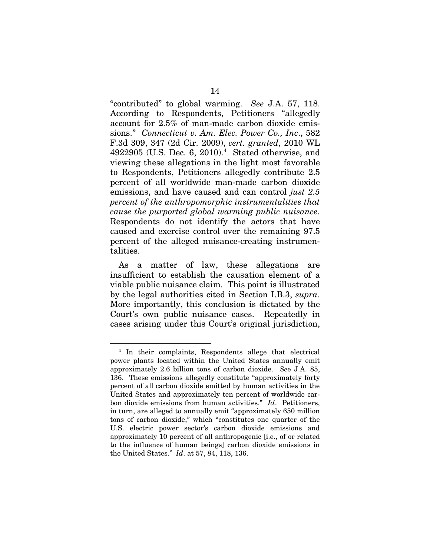"contributed" to global warming. *See* J.A. 57, 118. According to Respondents, Petitioners "allegedly account for 2.5% of man-made carbon dioxide emissions." *Connecticut v. Am. Elec. Power Co., Inc*., 582 F.3d 309, 347 (2d Cir. 2009), *cert. granted*, 2010 WL  $4922905$  $4922905$  (U.S. Dec. 6, 2010).<sup>4</sup> Stated otherwise, and viewing these allegations in the light most favorable to Respondents, Petitioners allegedly contribute 2.5 percent of all worldwide man-made carbon dioxide emissions, and have caused and can control *just 2.5 percent of the anthropomorphic instrumentalities that cause the purported global warming public nuisance*. Respondents do not identify the actors that have caused and exercise control over the remaining 97.5 percent of the alleged nuisance-creating instrumentalities.

As a matter of law, these allegations are insufficient to establish the causation element of a viable public nuisance claim. This point is illustrated by the legal authorities cited in Section I.B.3, *supra*. More importantly, this conclusion is dictated by the Court's own public nuisance cases. Repeatedly in cases arising under this Court's original jurisdiction,

<span id="page-22-0"></span> <sup>4</sup> In their complaints, Respondents allege that electrical power plants located within the United States annually emit approximately 2.6 billion tons of carbon dioxide. *Se*e J.A. 85, 136. These emissions allegedly constitute "approximately forty percent of all carbon dioxide emitted by human activities in the United States and approximately ten percent of worldwide carbon dioxide emissions from human activities." *Id*. Petitioners, in turn, are alleged to annually emit "approximately 650 million tons of carbon dioxide," which "constitutes one quarter of the U.S. electric power sector's carbon dioxide emissions and approximately 10 percent of all anthropogenic [i.e., of or related to the influence of human beings] carbon dioxide emissions in the United States." *Id*. at 57, 84, 118, 136.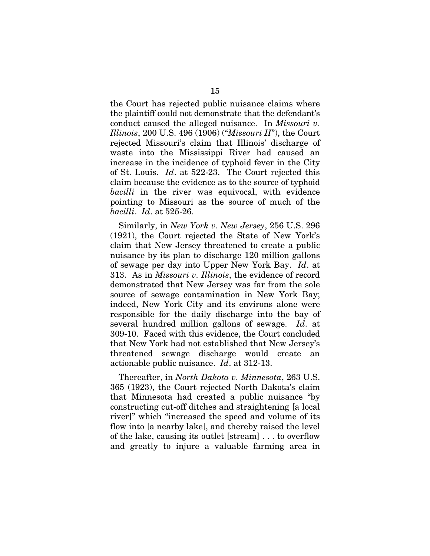the Court has rejected public nuisance claims where the plaintiff could not demonstrate that the defendant's conduct caused the alleged nuisance. In *Missouri v. Illinois*, 200 U.S. 496 (1906) ("*Missouri II*"), the Court rejected Missouri's claim that Illinois' discharge of waste into the Mississippi River had caused an increase in the incidence of typhoid fever in the City of St. Louis. *Id*. at 522-23. The Court rejected this claim because the evidence as to the source of typhoid *bacilli* in the river was equivocal, with evidence pointing to Missouri as the source of much of the *bacilli*. *Id*. at 525-26.

Similarly, in *New York v. New Jersey*, 256 U.S. 296 (1921), the Court rejected the State of New York's claim that New Jersey threatened to create a public nuisance by its plan to discharge 120 million gallons of sewage per day into Upper New York Bay. *Id*. at 313. As in *Missouri v. Illinois*, the evidence of record demonstrated that New Jersey was far from the sole source of sewage contamination in New York Bay; indeed, New York City and its environs alone were responsible for the daily discharge into the bay of several hundred million gallons of sewage. *Id*. at 309-10. Faced with this evidence, the Court concluded that New York had not established that New Jersey's threatened sewage discharge would create an actionable public nuisance. *Id*. at 312-13.

Thereafter, in *North Dakota v. Minnesota*, 263 U.S. 365 (1923), the Court rejected North Dakota's claim that Minnesota had created a public nuisance "by constructing cut-off ditches and straightening [a local river]" which "increased the speed and volume of its flow into [a nearby lake], and thereby raised the level of the lake, causing its outlet [stream] . . . to overflow and greatly to injure a valuable farming area in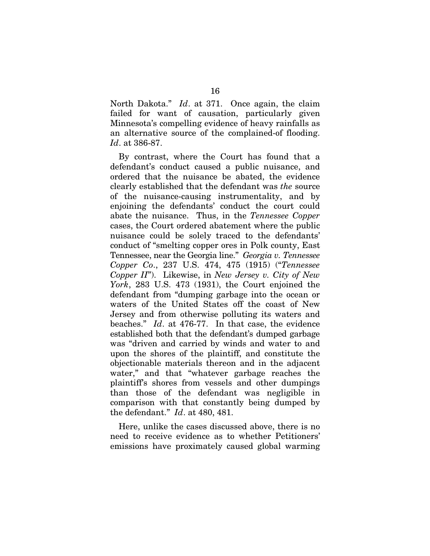North Dakota." *Id*. at 371. Once again, the claim failed for want of causation, particularly given Minnesota's compelling evidence of heavy rainfalls as an alternative source of the complained-of flooding. *Id*. at 386-87.

By contrast, where the Court has found that a defendant's conduct caused a public nuisance, and ordered that the nuisance be abated, the evidence clearly established that the defendant was *the* source of the nuisance-causing instrumentality, and by enjoining the defendants' conduct the court could abate the nuisance. Thus, in the *Tennessee Copper* cases, the Court ordered abatement where the public nuisance could be solely traced to the defendants' conduct of "smelting copper ores in Polk county, East Tennessee, near the Georgia line." *Georgia v. Tennessee Copper Co*., 237 U.S. 474, 475 (1915) ("*Tennessee Copper II*"). Likewise, in *New Jersey v. City of New York*, 283 U.S. 473 (1931), the Court enjoined the defendant from "dumping garbage into the ocean or waters of the United States off the coast of New Jersey and from otherwise polluting its waters and beaches." *Id*. at 476-77. In that case, the evidence established both that the defendant's dumped garbage was "driven and carried by winds and water to and upon the shores of the plaintiff, and constitute the objectionable materials thereon and in the adjacent water," and that "whatever garbage reaches the plaintiff's shores from vessels and other dumpings than those of the defendant was negligible in comparison with that constantly being dumped by the defendant." *Id*. at 480, 481.

Here, unlike the cases discussed above, there is no need to receive evidence as to whether Petitioners' emissions have proximately caused global warming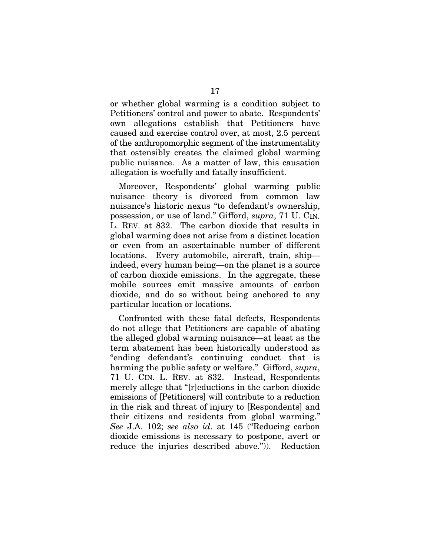or whether global warming is a condition subject to Petitioners' control and power to abate. Respondents' own allegations establish that Petitioners have caused and exercise control over, at most, 2.5 percent of the anthropomorphic segment of the instrumentality that ostensibly creates the claimed global warming public nuisance. As a matter of law, this causation allegation is woefully and fatally insufficient.

Moreover, Respondents' global warming public nuisance theory is divorced from common law nuisance's historic nexus "to defendant's ownership, possession, or use of land." Gifford, *supra*, 71 U. CIN. L. REV. at 832. The carbon dioxide that results in global warming does not arise from a distinct location or even from an ascertainable number of different locations. Every automobile, aircraft, train, ship indeed, every human being—on the planet is a source of carbon dioxide emissions. In the aggregate, these mobile sources emit massive amounts of carbon dioxide, and do so without being anchored to any particular location or locations.

Confronted with these fatal defects, Respondents do not allege that Petitioners are capable of abating the alleged global warming nuisance—at least as the term abatement has been historically understood as "ending defendant's continuing conduct that is harming the public safety or welfare." Gifford, *supra*, 71 U. CIN. L. REV. at 832. Instead, Respondents merely allege that "[r]eductions in the carbon dioxide emissions of [Petitioners] will contribute to a reduction in the risk and threat of injury to [Respondents] and their citizens and residents from global warming." *See* J.A. 102; *see also id*. at 145 ("Reducing carbon dioxide emissions is necessary to postpone, avert or reduce the injuries described above.")). Reduction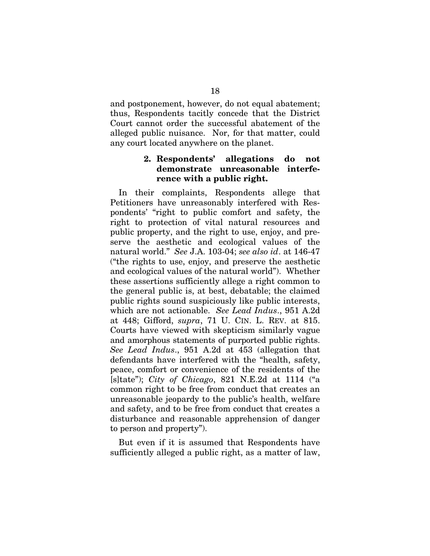and postponement, however, do not equal abatement; thus, Respondents tacitly concede that the District Court cannot order the successful abatement of the alleged public nuisance. Nor, for that matter, could any court located anywhere on the planet.

## **2. Respondents' allegations do not demonstrate unreasonable interference with a public right.**

In their complaints, Respondents allege that Petitioners have unreasonably interfered with Respondents' "right to public comfort and safety, the right to protection of vital natural resources and public property, and the right to use, enjoy, and preserve the aesthetic and ecological values of the natural world." *See* J.A. 103-04; *see also id*. at 146-47 ("the rights to use, enjoy, and preserve the aesthetic and ecological values of the natural world"). Whether these assertions sufficiently allege a right common to the general public is, at best, debatable; the claimed public rights sound suspiciously like public interests, which are not actionable. *See Lead Indus*., 951 A.2d at 448; Gifford, *supra*, 71 U. CIN. L. REV. at 815. Courts have viewed with skepticism similarly vague and amorphous statements of purported public rights. *See Lead Indus*., 951 A.2d at 453 (allegation that defendants have interfered with the "health, safety, peace, comfort or convenience of the residents of the [s]tate"); *City of Chicago*, 821 N.E.2d at 1114 ("a common right to be free from conduct that creates an unreasonable jeopardy to the public's health, welfare and safety, and to be free from conduct that creates a disturbance and reasonable apprehension of danger to person and property").

But even if it is assumed that Respondents have sufficiently alleged a public right, as a matter of law,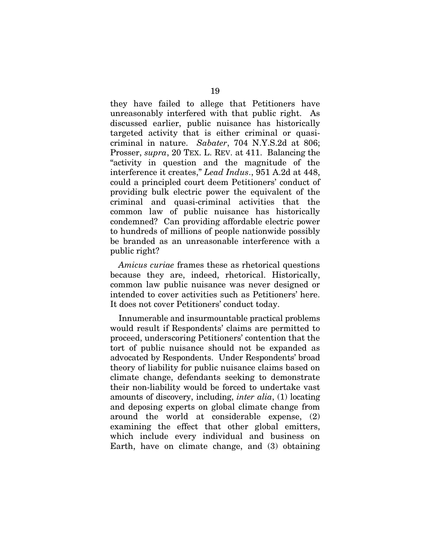they have failed to allege that Petitioners have unreasonably interfered with that public right. As discussed earlier, public nuisance has historically targeted activity that is either criminal or quasicriminal in nature. *Sabater*, 704 N.Y.S.2d at 806; Prosser, *supra*, 20 TEX. L. REV. at 411. Balancing the "activity in question and the magnitude of the interference it creates," *Lead Indus*., 951 A.2d at 448, could a principled court deem Petitioners' conduct of providing bulk electric power the equivalent of the criminal and quasi-criminal activities that the common law of public nuisance has historically condemned? Can providing affordable electric power to hundreds of millions of people nationwide possibly be branded as an unreasonable interference with a public right?

*Amicus curiae* frames these as rhetorical questions because they are, indeed, rhetorical. Historically, common law public nuisance was never designed or intended to cover activities such as Petitioners' here. It does not cover Petitioners' conduct today.

Innumerable and insurmountable practical problems would result if Respondents' claims are permitted to proceed, underscoring Petitioners' contention that the tort of public nuisance should not be expanded as advocated by Respondents. Under Respondents' broad theory of liability for public nuisance claims based on climate change, defendants seeking to demonstrate their non-liability would be forced to undertake vast amounts of discovery, including, *inter alia*, (1) locating and deposing experts on global climate change from around the world at considerable expense, (2) examining the effect that other global emitters, which include every individual and business on Earth, have on climate change, and (3) obtaining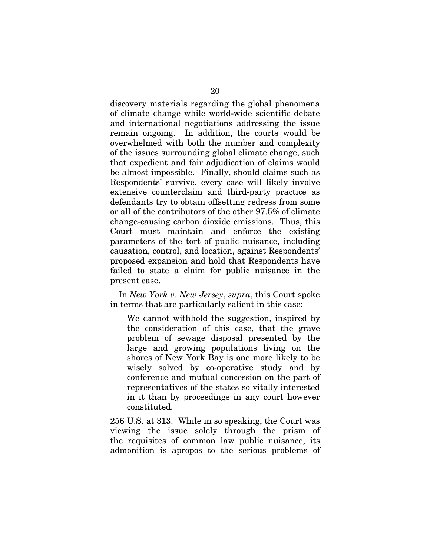discovery materials regarding the global phenomena of climate change while world-wide scientific debate and international negotiations addressing the issue remain ongoing. In addition, the courts would be overwhelmed with both the number and complexity of the issues surrounding global climate change, such that expedient and fair adjudication of claims would be almost impossible. Finally, should claims such as Respondents' survive, every case will likely involve extensive counterclaim and third-party practice as defendants try to obtain offsetting redress from some or all of the contributors of the other 97.5% of climate change-causing carbon dioxide emissions. Thus, this Court must maintain and enforce the existing parameters of the tort of public nuisance, including causation, control, and location, against Respondents' proposed expansion and hold that Respondents have failed to state a claim for public nuisance in the present case.

In *New York v. New Jersey*, *supra*, this Court spoke in terms that are particularly salient in this case:

We cannot withhold the suggestion, inspired by the consideration of this case, that the grave problem of sewage disposal presented by the large and growing populations living on the shores of New York Bay is one more likely to be wisely solved by co-operative study and by conference and mutual concession on the part of representatives of the states so vitally interested in it than by proceedings in any court however constituted.

256 U.S. at 313. While in so speaking, the Court was viewing the issue solely through the prism of the requisites of common law public nuisance, its admonition is apropos to the serious problems of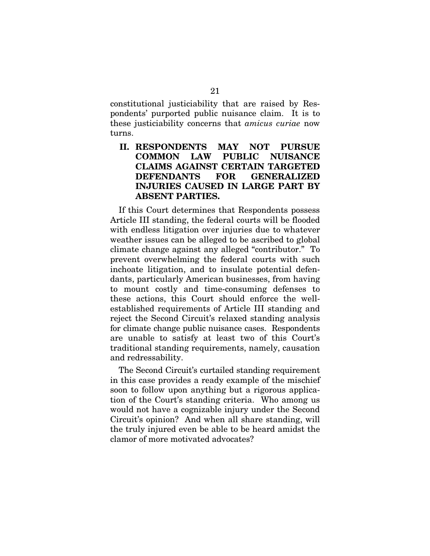constitutional justiciability that are raised by Respondents' purported public nuisance claim. It is to these justiciability concerns that *amicus curiae* now turns.

## **II. RESPONDENTS MAY NOT PURSUE COMMON LAW PUBLIC NUISANCE CLAIMS AGAINST CERTAIN TARGETED DEFENDANTS FOR GENERALIZED INJURIES CAUSED IN LARGE PART BY ABSENT PARTIES.**

If this Court determines that Respondents possess Article III standing, the federal courts will be flooded with endless litigation over injuries due to whatever weather issues can be alleged to be ascribed to global climate change against any alleged "contributor." To prevent overwhelming the federal courts with such inchoate litigation, and to insulate potential defendants, particularly American businesses, from having to mount costly and time-consuming defenses to these actions, this Court should enforce the wellestablished requirements of Article III standing and reject the Second Circuit's relaxed standing analysis for climate change public nuisance cases. Respondents are unable to satisfy at least two of this Court's traditional standing requirements, namely, causation and redressability.

The Second Circuit's curtailed standing requirement in this case provides a ready example of the mischief soon to follow upon anything but a rigorous application of the Court's standing criteria. Who among us would not have a cognizable injury under the Second Circuit's opinion? And when all share standing, will the truly injured even be able to be heard amidst the clamor of more motivated advocates?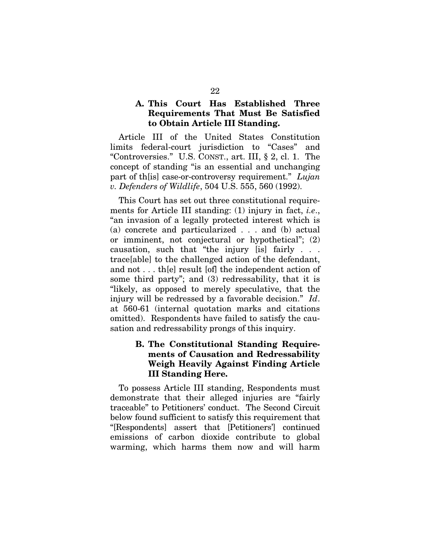### **A. This Court Has Established Three Requirements That Must Be Satisfied to Obtain Article III Standing.**

Article III of the United States Constitution limits federal-court jurisdiction to "Cases" and "Controversies." U.S. CONST., art. III, § 2, cl. 1. The concept of standing "is an essential and unchanging part of th[is] case-or-controversy requirement." *Lujan v. Defenders of Wildlife*, 504 U.S. 555, 560 (1992).

This Court has set out three constitutional requirements for Article III standing: (1) injury in fact, *i.e*., "an invasion of a legally protected interest which is (a) concrete and particularized . . . and (b) actual or imminent, not conjectural or hypothetical"; (2) causation, such that "the injury [is] fairly . . . trace[able] to the challenged action of the defendant, and not . . . th[e] result [of] the independent action of some third party"; and (3) redressability, that it is "likely, as opposed to merely speculative, that the injury will be redressed by a favorable decision." *Id*. at 560-61 (internal quotation marks and citations omitted). Respondents have failed to satisfy the causation and redressability prongs of this inquiry.

## **B. The Constitutional Standing Requirements of Causation and Redressability Weigh Heavily Against Finding Article III Standing Here.**

To possess Article III standing, Respondents must demonstrate that their alleged injuries are "fairly traceable" to Petitioners' conduct. The Second Circuit below found sufficient to satisfy this requirement that "[Respondents] assert that [Petitioners'] continued emissions of carbon dioxide contribute to global warming, which harms them now and will harm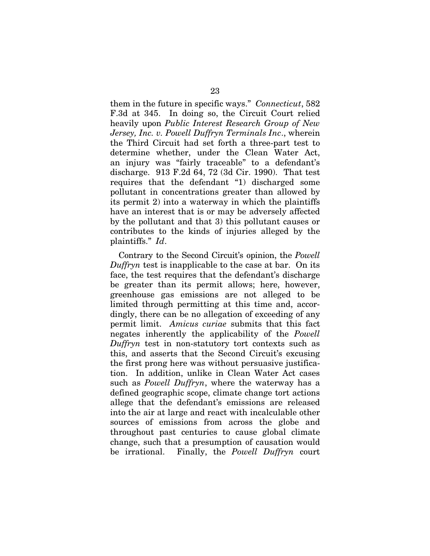them in the future in specific ways." *Connecticut*, 582 F.3d at 345. In doing so, the Circuit Court relied heavily upon *Public Interest Research Group of New Jersey, Inc. v. Powell Duffryn Terminals Inc*., wherein the Third Circuit had set forth a three-part test to determine whether, under the Clean Water Act, an injury was "fairly traceable" to a defendant's discharge. 913 F.2d 64, 72 (3d Cir. 1990). That test requires that the defendant "1) discharged some pollutant in concentrations greater than allowed by its permit 2) into a waterway in which the plaintiffs have an interest that is or may be adversely affected by the pollutant and that 3) this pollutant causes or contributes to the kinds of injuries alleged by the plaintiffs." *Id*.

Contrary to the Second Circuit's opinion, the *Powell Duffryn* test is inapplicable to the case at bar. On its face, the test requires that the defendant's discharge be greater than its permit allows; here, however, greenhouse gas emissions are not alleged to be limited through permitting at this time and, accordingly, there can be no allegation of exceeding of any permit limit. *Amicus curiae* submits that this fact negates inherently the applicability of the *Powell Duffryn* test in non-statutory tort contexts such as this, and asserts that the Second Circuit's excusing the first prong here was without persuasive justification. In addition, unlike in Clean Water Act cases such as *Powell Duffryn*, where the waterway has a defined geographic scope, climate change tort actions allege that the defendant's emissions are released into the air at large and react with incalculable other sources of emissions from across the globe and throughout past centuries to cause global climate change, such that a presumption of causation would be irrational. Finally, the *Powell Duffryn* court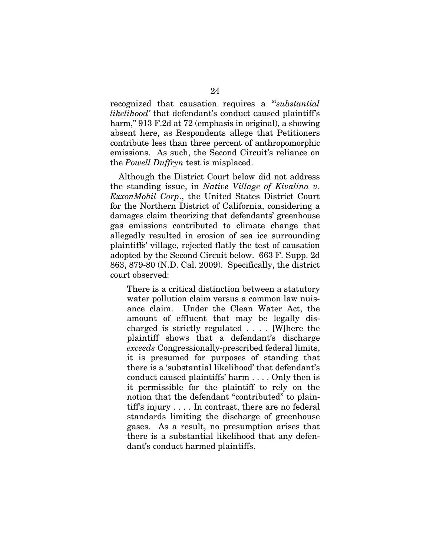recognized that causation requires a "'*substantial likelihood'* that defendant's conduct caused plaintiff's harm," 913 F.2d at 72 (emphasis in original), a showing absent here, as Respondents allege that Petitioners contribute less than three percent of anthropomorphic emissions. As such, the Second Circuit's reliance on the *Powell Duffryn* test is misplaced.

Although the District Court below did not address the standing issue, in *Native Village of Kivalina v. ExxonMobil Corp*., the United States District Court for the Northern District of California, considering a damages claim theorizing that defendants' greenhouse gas emissions contributed to climate change that allegedly resulted in erosion of sea ice surrounding plaintiffs' village, rejected flatly the test of causation adopted by the Second Circuit below. 663 F. Supp. 2d 863, 879-80 (N.D. Cal. 2009). Specifically, the district court observed:

There is a critical distinction between a statutory water pollution claim versus a common law nuisance claim. Under the Clean Water Act, the amount of effluent that may be legally discharged is strictly regulated . . . . [W]here the plaintiff shows that a defendant's discharge *exceeds* Congressionally-prescribed federal limits, it is presumed for purposes of standing that there is a 'substantial likelihood' that defendant's conduct caused plaintiffs' harm . . . . Only then is it permissible for the plaintiff to rely on the notion that the defendant "contributed" to plaintiff's injury . . . . In contrast, there are no federal standards limiting the discharge of greenhouse gases. As a result, no presumption arises that there is a substantial likelihood that any defendant's conduct harmed plaintiffs.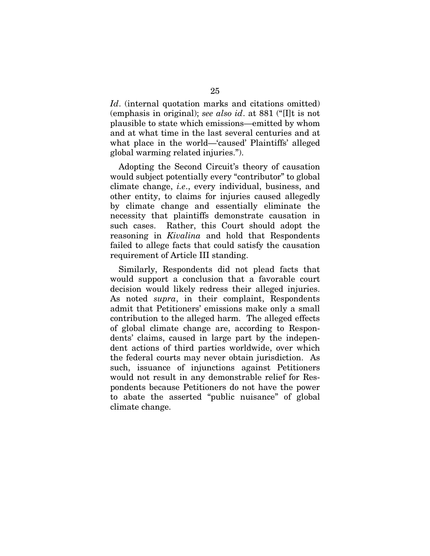*Id.* (internal quotation marks and citations omitted) (emphasis in original); *see also id*. at 881 ("[I]t is not plausible to state which emissions—emitted by whom and at what time in the last several centuries and at what place in the world—'caused' Plaintiffs' alleged global warming related injuries.").

Adopting the Second Circuit's theory of causation would subject potentially every "contributor" to global climate change, *i.e*., every individual, business, and other entity, to claims for injuries caused allegedly by climate change and essentially eliminate the necessity that plaintiffs demonstrate causation in such cases. Rather, this Court should adopt the reasoning in *Kivalina* and hold that Respondents failed to allege facts that could satisfy the causation requirement of Article III standing.

Similarly, Respondents did not plead facts that would support a conclusion that a favorable court decision would likely redress their alleged injuries. As noted *supra*, in their complaint, Respondents admit that Petitioners' emissions make only a small contribution to the alleged harm. The alleged effects of global climate change are, according to Respondents' claims, caused in large part by the independent actions of third parties worldwide, over which the federal courts may never obtain jurisdiction. As such, issuance of injunctions against Petitioners would not result in any demonstrable relief for Respondents because Petitioners do not have the power to abate the asserted "public nuisance" of global climate change.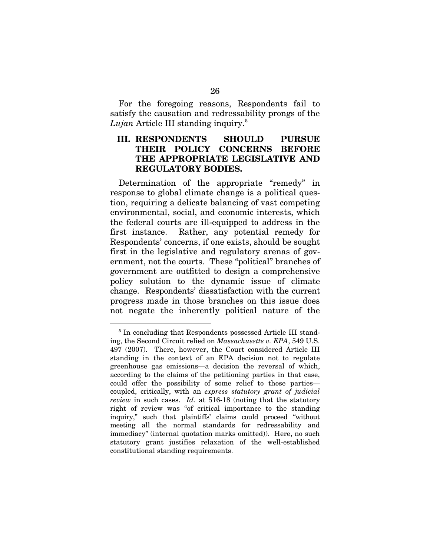For the foregoing reasons, Respondents fail to satisfy the causation and redressability prongs of the *Lujan* Article III standing inquiry.[5](#page-34-0)

## **III. RESPONDENTS SHOULD PURSUE THEIR POLICY CONCERNS BEFORE THE APPROPRIATE LEGISLATIVE AND REGULATORY BODIES.**

Determination of the appropriate "remedy" in response to global climate change is a political question, requiring a delicate balancing of vast competing environmental, social, and economic interests, which the federal courts are ill-equipped to address in the first instance. Rather, any potential remedy for Respondents' concerns, if one exists, should be sought first in the legislative and regulatory arenas of government, not the courts. These "political" branches of government are outfitted to design a comprehensive policy solution to the dynamic issue of climate change. Respondents' dissatisfaction with the current progress made in those branches on this issue does not negate the inherently political nature of the

<span id="page-34-0"></span><sup>&</sup>lt;sup>5</sup> In concluding that Respondents possessed Article III standing, the Second Circuit relied on *Massachusetts v. EPA*, 549 U.S. 497 (2007). There, however, the Court considered Article III standing in the context of an EPA decision not to regulate greenhouse gas emissions—a decision the reversal of which, according to the claims of the petitioning parties in that case, could offer the possibility of some relief to those parties coupled, critically, with an *express statutory grant of judicial review* in such cases. *Id.* at 516-18 (noting that the statutory right of review was "of critical importance to the standing inquiry," such that plaintiffs' claims could proceed "without meeting all the normal standards for redressability and immediacy" (internal quotation marks omitted)). Here, no such statutory grant justifies relaxation of the well-established constitutional standing requirements.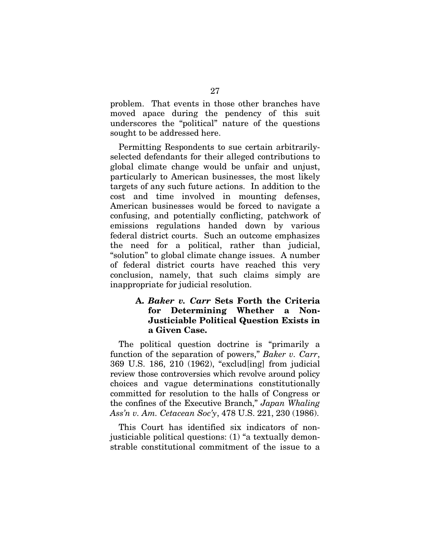problem. That events in those other branches have moved apace during the pendency of this suit underscores the "political" nature of the questions sought to be addressed here.

Permitting Respondents to sue certain arbitrarilyselected defendants for their alleged contributions to global climate change would be unfair and unjust, particularly to American businesses, the most likely targets of any such future actions. In addition to the cost and time involved in mounting defenses, American businesses would be forced to navigate a confusing, and potentially conflicting, patchwork of emissions regulations handed down by various federal district courts. Such an outcome emphasizes the need for a political, rather than judicial, "solution" to global climate change issues. A number of federal district courts have reached this very conclusion, namely, that such claims simply are inappropriate for judicial resolution.

## **A.** *Baker v. Carr* **Sets Forth the Criteria for Determining Whether a Non-Justiciable Political Question Exists in a Given Case.**

The political question doctrine is "primarily a function of the separation of powers," *Baker v. Carr*, 369 U.S. 186, 210 (1962), "exclud[ing] from judicial review those controversies which revolve around policy choices and vague determinations constitutionally committed for resolution to the halls of Congress or the confines of the Executive Branch," *Japan Whaling Ass'n v. Am. Cetacean Soc'y*, 478 U.S. 221, 230 (1986).

This Court has identified six indicators of nonjusticiable political questions: (1) "a textually demonstrable constitutional commitment of the issue to a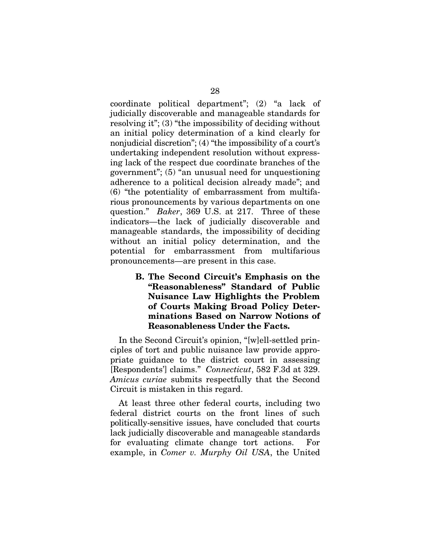coordinate political department"; (2) "a lack of judicially discoverable and manageable standards for resolving it"; (3) "the impossibility of deciding without an initial policy determination of a kind clearly for nonjudicial discretion"; (4) "the impossibility of a court's undertaking independent resolution without expressing lack of the respect due coordinate branches of the government"; (5) "an unusual need for unquestioning adherence to a political decision already made"; and (6) "the potentiality of embarrassment from multifarious pronouncements by various departments on one question." *Baker*, 369 U.S. at 217. Three of these indicators—the lack of judicially discoverable and manageable standards, the impossibility of deciding without an initial policy determination, and the potential for embarrassment from multifarious pronouncements—are present in this case.

> **B. The Second Circuit's Emphasis on the "Reasonableness" Standard of Public Nuisance Law Highlights the Problem of Courts Making Broad Policy Determinations Based on Narrow Notions of Reasonableness Under the Facts.**

In the Second Circuit's opinion, "[w]ell-settled principles of tort and public nuisance law provide appropriate guidance to the district court in assessing [Respondents'] claims." *Connecticut*, 582 F.3d at 329. *Amicus curiae* submits respectfully that the Second Circuit is mistaken in this regard.

At least three other federal courts, including two federal district courts on the front lines of such politically-sensitive issues, have concluded that courts lack judicially discoverable and manageable standards for evaluating climate change tort actions. For example, in *Comer v. Murphy Oil USA*, the United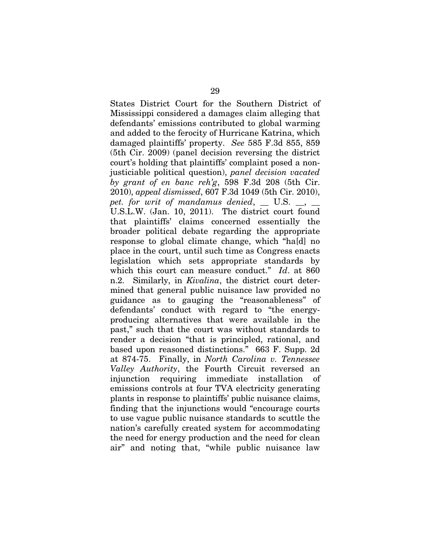States District Court for the Southern District of Mississippi considered a damages claim alleging that defendants' emissions contributed to global warming and added to the ferocity of Hurricane Katrina, which damaged plaintiffs' property. *See* 585 F.3d 855, 859 (5th Cir. 2009) (panel decision reversing the district court's holding that plaintiffs' complaint posed a nonjusticiable political question), *panel decision vacated by grant of en banc reh'g*, 598 F.3d 208 (5th Cir. 2010), *appeal dismissed*, 607 F.3d 1049 (5th Cir. 2010), pet. for writ of mandamus denied, \_ U.S. \_, \_ U.S.L.W. (Jan. 10, 2011). The district court found that plaintiffs' claims concerned essentially the broader political debate regarding the appropriate response to global climate change, which "ha[d] no place in the court, until such time as Congress enacts legislation which sets appropriate standards by which this court can measure conduct." *Id*. at 860 n.2. Similarly, in *Kivalina*, the district court determined that general public nuisance law provided no guidance as to gauging the "reasonableness" of defendants' conduct with regard to "the energyproducing alternatives that were available in the past," such that the court was without standards to render a decision "that is principled, rational, and based upon reasoned distinctions." 663 F. Supp. 2d at 874-75. Finally, in *North Carolina v. Tennessee Valley Authority*, the Fourth Circuit reversed an injunction requiring immediate installation of emissions controls at four TVA electricity generating plants in response to plaintiffs' public nuisance claims, finding that the injunctions would "encourage courts to use vague public nuisance standards to scuttle the nation's carefully created system for accommodating the need for energy production and the need for clean air" and noting that, "while public nuisance law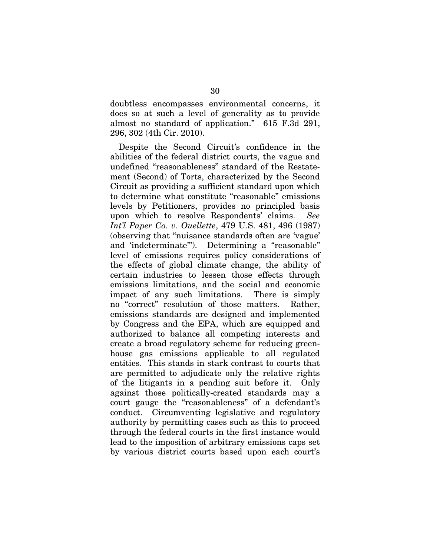doubtless encompasses environmental concerns, it does so at such a level of generality as to provide almost no standard of application." 615 F.3d 291, 296, 302 (4th Cir. 2010).

Despite the Second Circuit's confidence in the abilities of the federal district courts, the vague and undefined "reasonableness" standard of the Restatement (Second) of Torts, characterized by the Second Circuit as providing a sufficient standard upon which to determine what constitute "reasonable" emissions levels by Petitioners, provides no principled basis upon which to resolve Respondents' claims. *See Int'l Paper Co. v. Ouellette*, 479 U.S. 481, 496 (1987) (observing that "nuisance standards often are 'vague' and 'indeterminate'"). Determining a "reasonable" level of emissions requires policy considerations of the effects of global climate change, the ability of certain industries to lessen those effects through emissions limitations, and the social and economic impact of any such limitations. There is simply no "correct" resolution of those matters. Rather, emissions standards are designed and implemented by Congress and the EPA, which are equipped and authorized to balance all competing interests and create a broad regulatory scheme for reducing greenhouse gas emissions applicable to all regulated entities. This stands in stark contrast to courts that are permitted to adjudicate only the relative rights of the litigants in a pending suit before it. Only against those politically-created standards may a court gauge the "reasonableness" of a defendant's conduct. Circumventing legislative and regulatory authority by permitting cases such as this to proceed through the federal courts in the first instance would lead to the imposition of arbitrary emissions caps set by various district courts based upon each court's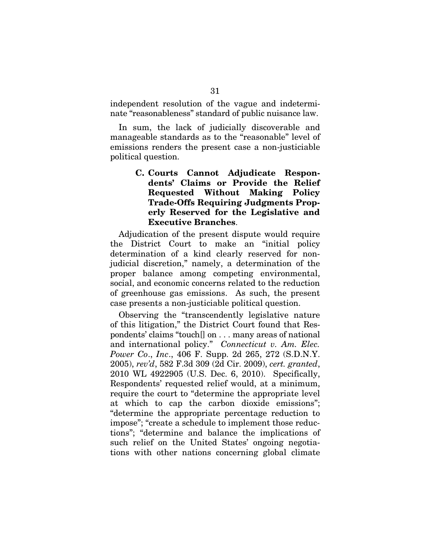independent resolution of the vague and indeterminate "reasonableness" standard of public nuisance law.

In sum, the lack of judicially discoverable and manageable standards as to the "reasonable" level of emissions renders the present case a non-justiciable political question.

> **C. Courts Cannot Adjudicate Respondents' Claims or Provide the Relief Requested Without Making Policy Trade-Offs Requiring Judgments Properly Reserved for the Legislative and Executive Branches**.

Adjudication of the present dispute would require the District Court to make an "initial policy determination of a kind clearly reserved for nonjudicial discretion," namely, a determination of the proper balance among competing environmental, social, and economic concerns related to the reduction of greenhouse gas emissions. As such, the present case presents a non-justiciable political question.

Observing the "transcendently legislative nature of this litigation," the District Court found that Respondents' claims "touch[] on . . . many areas of national and international policy." *Connecticut v. Am. Elec. Power Co*., *Inc*., 406 F. Supp. 2d 265, 272 (S.D.N.Y. 2005), *rev'd*, 582 F.3d 309 (2d Cir. 2009), *cert. granted*, 2010 WL 4922905 (U.S. Dec. 6, 2010). Specifically, Respondents' requested relief would, at a minimum, require the court to "determine the appropriate level at which to cap the carbon dioxide emissions"; "determine the appropriate percentage reduction to impose"; "create a schedule to implement those reductions"; "determine and balance the implications of such relief on the United States' ongoing negotiations with other nations concerning global climate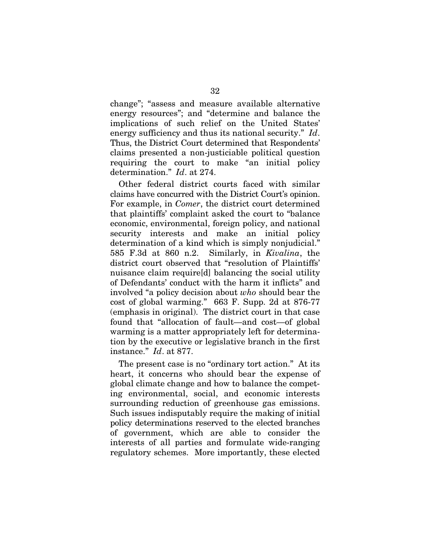change"; "assess and measure available alternative energy resources"; and "determine and balance the implications of such relief on the United States' energy sufficiency and thus its national security." *Id*. Thus, the District Court determined that Respondents' claims presented a non-justiciable political question requiring the court to make "an initial policy determination." *Id*. at 274.

Other federal district courts faced with similar claims have concurred with the District Court's opinion. For example, in *Comer*, the district court determined that plaintiffs' complaint asked the court to "balance economic, environmental, foreign policy, and national security interests and make an initial policy determination of a kind which is simply nonjudicial." 585 F.3d at 860 n.2. Similarly, in *Kivalina*, the district court observed that "resolution of Plaintiffs' nuisance claim require[d] balancing the social utility of Defendants' conduct with the harm it inflicts" and involved "a policy decision about *who* should bear the cost of global warming." 663 F. Supp. 2d at 876-77 (emphasis in original). The district court in that case found that "allocation of fault—and cost—of global warming is a matter appropriately left for determination by the executive or legislative branch in the first instance." *Id*. at 877.

The present case is no "ordinary tort action." At its heart, it concerns who should bear the expense of global climate change and how to balance the competing environmental, social, and economic interests surrounding reduction of greenhouse gas emissions. Such issues indisputably require the making of initial policy determinations reserved to the elected branches of government, which are able to consider the interests of all parties and formulate wide-ranging regulatory schemes. More importantly, these elected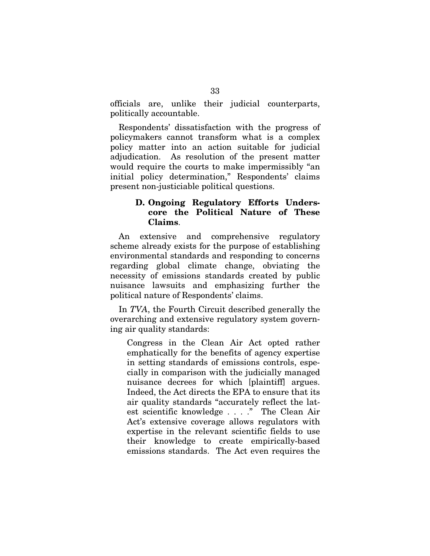officials are, unlike their judicial counterparts, politically accountable.

Respondents' dissatisfaction with the progress of policymakers cannot transform what is a complex policy matter into an action suitable for judicial adjudication. As resolution of the present matter would require the courts to make impermissibly "an initial policy determination," Respondents' claims present non-justiciable political questions.

## **D. Ongoing Regulatory Efforts Underscore the Political Nature of These Claims**.

An extensive and comprehensive regulatory scheme already exists for the purpose of establishing environmental standards and responding to concerns regarding global climate change, obviating the necessity of emissions standards created by public nuisance lawsuits and emphasizing further the political nature of Respondents' claims.

In *TVA*, the Fourth Circuit described generally the overarching and extensive regulatory system governing air quality standards:

Congress in the Clean Air Act opted rather emphatically for the benefits of agency expertise in setting standards of emissions controls, especially in comparison with the judicially managed nuisance decrees for which [plaintiff] argues. Indeed, the Act directs the EPA to ensure that its air quality standards "accurately reflect the latest scientific knowledge . . . ." The Clean Air Act's extensive coverage allows regulators with expertise in the relevant scientific fields to use their knowledge to create empirically-based emissions standards. The Act even requires the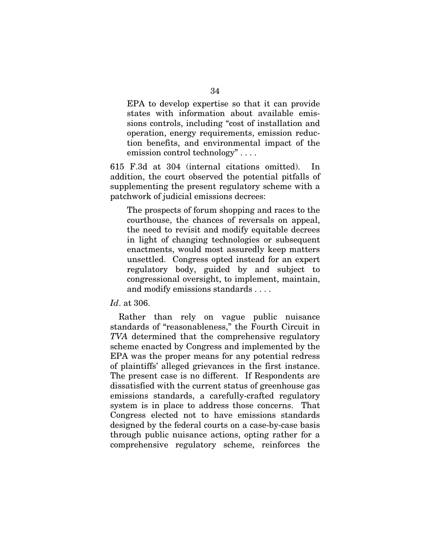EPA to develop expertise so that it can provide states with information about available emissions controls, including "cost of installation and operation, energy requirements, emission reduction benefits, and environmental impact of the emission control technology" . . . .

615 F.3d at 304 (internal citations omitted). In addition, the court observed the potential pitfalls of supplementing the present regulatory scheme with a patchwork of judicial emissions decrees:

The prospects of forum shopping and races to the courthouse, the chances of reversals on appeal, the need to revisit and modify equitable decrees in light of changing technologies or subsequent enactments, would most assuredly keep matters unsettled. Congress opted instead for an expert regulatory body, guided by and subject to congressional oversight, to implement, maintain, and modify emissions standards . . . .

*Id*. at 306.

Rather than rely on vague public nuisance standards of "reasonableness," the Fourth Circuit in *TVA* determined that the comprehensive regulatory scheme enacted by Congress and implemented by the EPA was the proper means for any potential redress of plaintiffs' alleged grievances in the first instance. The present case is no different. If Respondents are dissatisfied with the current status of greenhouse gas emissions standards, a carefully-crafted regulatory system is in place to address those concerns. That Congress elected not to have emissions standards designed by the federal courts on a case-by-case basis through public nuisance actions, opting rather for a comprehensive regulatory scheme, reinforces the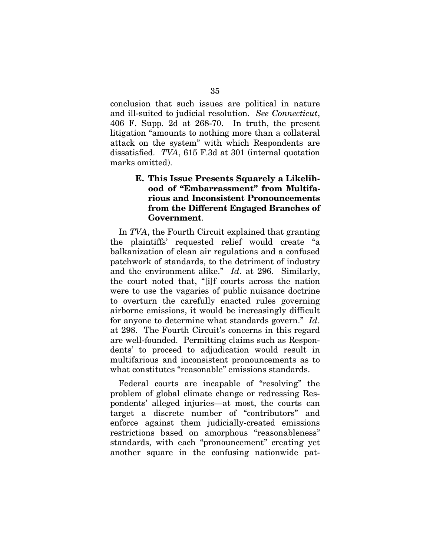conclusion that such issues are political in nature and ill-suited to judicial resolution. *See Connecticut*, 406 F. Supp. 2d at 268-70. In truth, the present litigation "amounts to nothing more than a collateral attack on the system" with which Respondents are dissatisfied. *TVA*, 615 F.3d at 301 (internal quotation marks omitted).

## **E. This Issue Presents Squarely a Likelihood of "Embarrassment" from Multifarious and Inconsistent Pronouncements from the Different Engaged Branches of Government**.

In *TVA*, the Fourth Circuit explained that granting the plaintiffs' requested relief would create "a balkanization of clean air regulations and a confused patchwork of standards, to the detriment of industry and the environment alike." *Id*. at 296. Similarly, the court noted that, "[i]f courts across the nation were to use the vagaries of public nuisance doctrine to overturn the carefully enacted rules governing airborne emissions, it would be increasingly difficult for anyone to determine what standards govern." *Id*. at 298. The Fourth Circuit's concerns in this regard are well-founded. Permitting claims such as Respondents' to proceed to adjudication would result in multifarious and inconsistent pronouncements as to what constitutes "reasonable" emissions standards.

Federal courts are incapable of "resolving" the problem of global climate change or redressing Respondents' alleged injuries—at most, the courts can target a discrete number of "contributors" and enforce against them judicially-created emissions restrictions based on amorphous "reasonableness" standards, with each "pronouncement" creating yet another square in the confusing nationwide pat-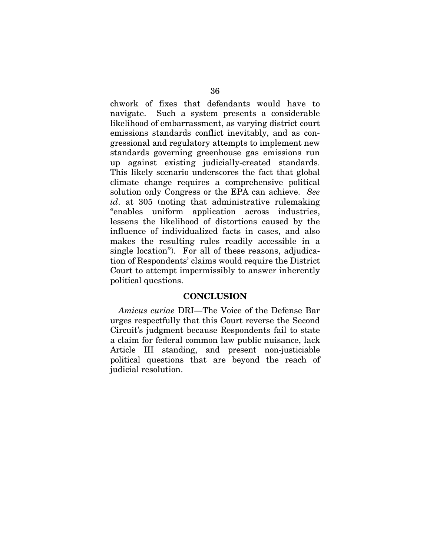chwork of fixes that defendants would have to navigate. Such a system presents a considerable likelihood of embarrassment, as varying district court emissions standards conflict inevitably, and as congressional and regulatory attempts to implement new standards governing greenhouse gas emissions run up against existing judicially-created standards. This likely scenario underscores the fact that global climate change requires a comprehensive political solution only Congress or the EPA can achieve. *See id*. at 305 (noting that administrative rulemaking "enables uniform application across industries, lessens the likelihood of distortions caused by the influence of individualized facts in cases, and also makes the resulting rules readily accessible in a single location"). For all of these reasons, adjudication of Respondents' claims would require the District Court to attempt impermissibly to answer inherently political questions.

#### **CONCLUSION**

*Amicus curiae* DRI—The Voice of the Defense Bar urges respectfully that this Court reverse the Second Circuit's judgment because Respondents fail to state a claim for federal common law public nuisance, lack Article III standing, and present non-justiciable political questions that are beyond the reach of judicial resolution.